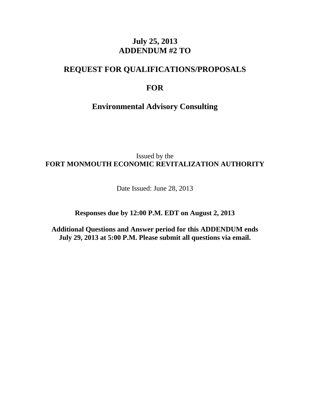## **July 25, 2013 ADDENDUM #2 TO**

## **REQUEST FOR QUALIFICATIONS/PROPOSALS**

## **FOR**

**Environmental Advisory Consulting** 

Issued by the **FORT MONMOUTH ECONOMIC REVITALIZATION AUTHORITY** 

Date Issued: June 28, 2013

**Responses due by 12:00 P.M. EDT on August 2, 2013** 

**Additional Questions and Answer period for this ADDENDUM ends July 29, 2013 at 5:00 P.M. Please submit all questions via email.**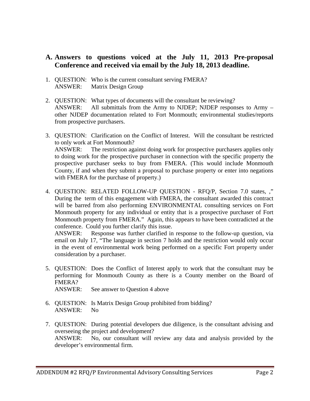## **A. Answers to questions voiced at the July 11, 2013 Pre-proposal Conference and received via email by the July 18, 2013 deadline.**

- 1. QUESTION: Who is the current consultant serving FMERA? ANSWER: Matrix Design Group
- 2. QUESTION: What types of documents will the consultant be reviewing? ANSWER: All submittals from the Army to NJDEP; NJDEP responses to Army – other NJDEP documentation related to Fort Monmouth; environmental studies/reports from prospective purchasers.
- 3. QUESTION: Clarification on the Conflict of Interest. Will the consultant be restricted to only work at Fort Monmouth? ANSWER: The restriction against doing work for prospective purchasers applies only to doing work for the prospective purchaser in connection with the specific property the prospective purchaser seeks to buy from FMERA. (This would include Monmouth County, if and when they submit a proposal to purchase property or enter into negations with FMERA for the purchase of property.)
- 4. QUESTION: RELATED FOLLOW-UP QUESTION RFQ/P, Section 7.0 states, ," During the term of this engagement with FMERA, the consultant awarded this contract will be barred from also performing ENVIRONMENTAL consulting services on Fort Monmouth property for any individual or entity that is a prospective purchaser of Fort Monmouth property from FMERA." Again, this appears to have been contradicted at the conference. Could you further clarify this issue.

ANSWER: Response was further clarified in response to the follow-up question, via email on July 17, "The language in section 7 holds and the restriction would only occur in the event of environmental work being performed on a specific Fort property under consideration by a purchaser.

- 5. QUESTION: Does the Conflict of Interest apply to work that the consultant may be performing for Monmouth County as there is a County member on the Board of FMERA? ANSWER: See answer to Question 4 above
- 6. QUESTION: Is Matrix Design Group prohibited from bidding? ANSWER: No
- 7. QUESTION: During potential developers due diligence, is the consultant advising and overseeing the project and development? ANSWER: No, our consultant will review any data and analysis provided by the developer's environmental firm.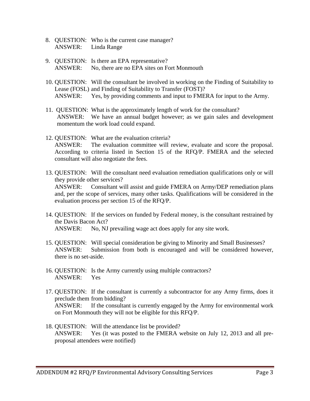- 8. QUESTION: Who is the current case manager? ANSWER: Linda Range
- 9. QUESTION: Is there an EPA representative? ANSWER: No, there are no EPA sites on Fort Monmouth
- 10. QUESTION: Will the consultant be involved in working on the Finding of Suitability to Lease (FOSL) and Finding of Suitability to Transfer (FOST)? ANSWER: Yes, by providing comments and input to FMERA for input to the Army.
- 11. QUESTION: What is the approximately length of work for the consultant? ANSWER: We have an annual budget however; as we gain sales and development momentum the work load could expand.
- 12. QUESTION: What are the evaluation criteria? ANSWER: The evaluation committee will review, evaluate and score the proposal. According to criteria listed in Section 15 of the RFQ/P. FMERA and the selected consultant will also negotiate the fees.
- 13. QUESTION: Will the consultant need evaluation remediation qualifications only or will they provide other services? ANSWER: Consultant will assist and guide FMERA on Army/DEP remediation plans and, per the scope of services, many other tasks. Qualifications will be considered in the evaluation process per section 15 of the RFQ/P.
- 14. QUESTION: If the services on funded by Federal money, is the consultant restrained by the Davis Bacon Act? ANSWER: No, NJ prevailing wage act does apply for any site work.
- 15. QUESTION: Will special consideration be giving to Minority and Small Businesses? ANSWER: Submission from both is encouraged and will be considered however, there is no set-aside.
- 16. QUESTION: Is the Army currently using multiple contractors? ANSWER: Yes
- 17. QUESTION: If the consultant is currently a subcontractor for any Army firms, does it preclude them from bidding? ANSWER: If the consultant is currently engaged by the Army for environmental work on Fort Monmouth they will not be eligible for this RFQ/P.
- 18. QUESTION: Will the attendance list be provided? ANSWER: Yes (it was posted to the FMERA website on July 12, 2013 and all preproposal attendees were notified)